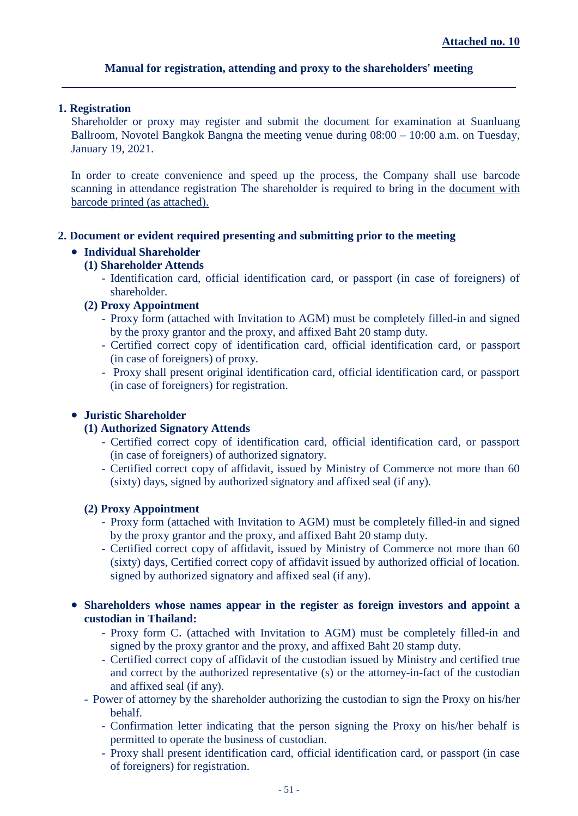# **Manual for registration, attending and proxy to the shareholders' meeting**

## **1. Registration**

Shareholder or proxy may register and submit the document for examination at Suanluang Ballroom, Novotel Bangkok Bangna the meeting venue during 08:00 – 10:00 a.m. on Tuesday, January 19, 2021.

In order to create convenience and speed up the process, the Company shall use barcode scanning in attendance registration The shareholder is required to bring in the document with barcode printed (as attached).

## **2. Document or evident required presenting and submitting prior to the meeting**

# **Individual Shareholder**

## **(1) Shareholder Attends**

- Identification card, official identification card, or passport (in case of foreigners) of shareholder.

## **(2) Proxy Appointment**

- Proxy form (attached with Invitation to AGM) must be completely filled-in and signed by the proxy grantor and the proxy, and affixed Baht 20 stamp duty.
- Certified correct copy of identification card, official identification card, or passport (in case of foreigners) of proxy.
- Proxy shall present original identification card, official identification card, or passport (in case of foreigners) for registration.

## **Juristic Shareholder**

#### **(1) Authorized Signatory Attends**

- Certified correct copy of identification card, official identification card, or passport (in case of foreigners) of authorized signatory.
- Certified correct copy of affidavit, issued by Ministry of Commerce not more than 60 (sixty) days, signed by authorized signatory and affixed seal (if any).

#### **(2) Proxy Appointment**

- Proxy form (attached with Invitation to AGM) must be completely filled-in and signed by the proxy grantor and the proxy, and affixed Baht 20 stamp duty.
- **-** Certified correct copy of affidavit, issued by Ministry of Commerce not more than 60 (sixty) days, Certified correct copy of affidavit issued by authorized official of location. signed by authorized signatory and affixed seal (if any).

## **Shareholders whose names appear in the register as foreign investors and appoint a custodian in Thailand:**

- Proxy form C. (attached with Invitation to AGM) must be completely filled-in and signed by the proxy grantor and the proxy, and affixed Baht 20 stamp duty.
- Certified correct copy of affidavit of the custodian issued by Ministry and certified true and correct by the authorized representative (s) or the attorney-in-fact of the custodian and affixed seal (if any).
- Power of attorney by the shareholder authorizing the custodian to sign the Proxy on his/her behalf.
	- Confirmation letter indicating that the person signing the Proxy on his/her behalf is permitted to operate the business of custodian.
	- Proxy shall present identification card, official identification card, or passport (in case of foreigners) for registration.